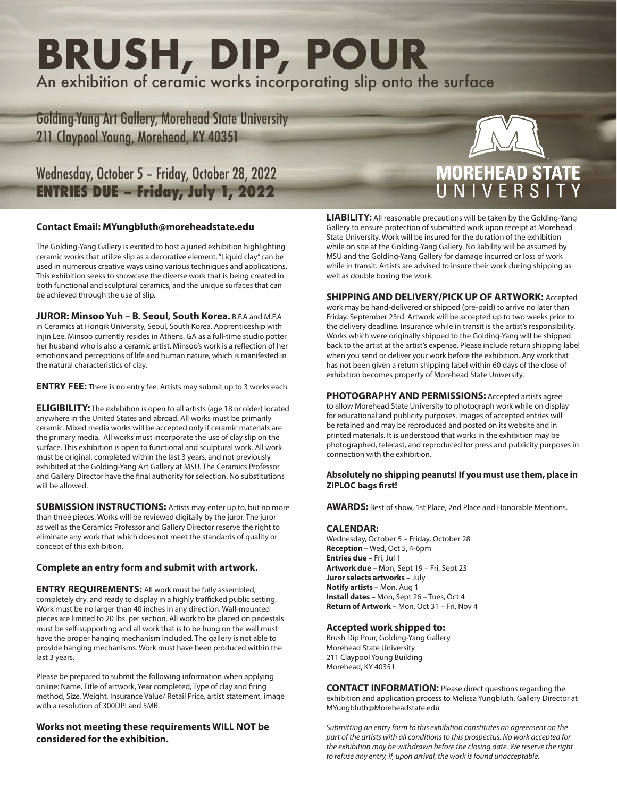# **BRUSH, DIP, POUR** An exhibition of ceramic works incorporating slip onto the surface

Golding-Yang Art Gallery, Morehead State University 211 Claypool Young, Morehead, KY 40351

Wednesday, October 5 – Friday, October 28, 2022 **ENTRIES DUE – Friday, July 1, 2022**

## **Contact Email: MYungbluth@moreheadstate.edu**

The Golding-Yang Gallery is excited to host a juried exhibition highlighting ceramic works that utilize slip as a decorative element. "Liquid clay" can be used in numerous creative ways using various techniques and applications. This exhibition seeks to showcase the diverse work that is being created in both functional and sculptural ceramics, and the unique surfaces that can be achieved through the use of slip.

**JUROR: Minsoo Yuh – B. Seoul, South Korea.** B.F.A and M.F.A in Ceramics at Hongik University, Seoul, South Korea. Apprenticeship with Injin Lee. Minsoo currently resides in Athens, GA as a full-time studio potter her husband who is also a ceramic artist. Minsoo's work is a reflection of her emotions and perceptions of life and human nature, which is manifested in the natural characteristics of clay.

**ENTRY FEE:** There is no entry fee. Artists may submit up to 3 works each.

**ELIGIBILITY:** The exhibition is open to all artists (age 18 or older) located anywhere in the United States and abroad. All works must be primarily ceramic. Mixed media works will be accepted only if ceramic materials are the primary media. All works must incorporate the use of clay slip on the surface. This exhibition is open to functional and sculptural work. All work must be original, completed within the last 3 years, and not previously exhibited at the Golding-Yang Art Gallery at MSU. The Ceramics Professor and Gallery Director have the final authority for selection. No substitutions will be allowed.

**SUBMISSION INSTRUCTIONS:** Artists may enter up to, but no more than three pieces. Works will be reviewed digitally by the juror. The juror as well as the Ceramics Professor and Gallery Director reserve the right to eliminate any work that which does not meet the standards of quality or concept of this exhibition.

### **Complete an entry form and submit with artwork.**

**ENTRY REQUIREMENTS:** All work must be fully assembled, completely dry, and ready to display in a highly trafficked public setting. Work must be no larger than 40 inches in any direction. Wall-mounted pieces are limited to 20 lbs. per section. All work to be placed on pedestals must be self-supporting and all work that is to be hung on the wall must have the proper hanging mechanism included. The gallery is not able to provide hanging mechanisms. Work must have been produced within the last 3 years.

Please be prepared to submit the following information when applying online: Name, Title of artwork, Year completed, Type of clay and firing method, Size, Weight, Insurance Value/ Retail Price, artist statement, image with a resolution of 300DPI and 5MB.

**Works not meeting these requirements WILL NOT be considered for the exhibition.** 

**LIABILITY:** All reasonable precautions will be taken by the Golding-Yang Gallery to ensure protection of submitted work upon receipt at Morehead State University. Work will be insured for the duration of the exhibition while on site at the Golding-Yang Gallery. No liability will be assumed by MSU and the Golding-Yang Gallery for damage incurred or loss of work while in transit. Artists are advised to insure their work during shipping as well as double boxing the work.

**SHIPPING AND DELIVERY/PICK UP OF ARTWORK:** Accepted work may be hand-delivered or shipped (pre-paid) to arrive no later than Friday, September 23rd. Artwork will be accepted up to two weeks prior to the delivery deadline. Insurance while in transit is the artist's responsibility. Works which were originally shipped to the Golding-Yang will be shipped back to the artist at the artist's expense. Please include return shipping label when you send or deliver your work before the exhibition. Any work that has not been given a return shipping label within 60 days of the close of exhibition becomes property of Morehead State University.

**PHOTOGRAPHY AND PERMISSIONS:** Accepted artists agree to allow Morehead State University to photograph work while on display for educational and publicity purposes. Images of accepted entries will be retained and may be reproduced and posted on its website and in printed materials. It is understood that works in the exhibition may be photographed, telecast, and reproduced for press and publicity purposes in connection with the exhibition.

#### **Absolutely no shipping peanuts! If you must use them, place in ZIPLOC bags first!**

**AWARDS:** Best of show, 1st Place, 2nd Place and Honorable Mentions.

#### **CALENDAR:**

Wednesday, October 5 – Friday, October 28 **Reception –** Wed, Oct 5, 4-6pm **Entries due –** Fri, Jul 1 **Artwork due –** Mon, Sept 19 – Fri, Sept 23 **Juror selects artworks –** July **Notify artists –** Mon, Aug 1 **Install dates –** Mon, Sept 26 – Tues, Oct 4 **Return of Artwork –** Mon, Oct 31 – Fri, Nov 4

#### **Accepted work shipped to:**

Brush Dip Pour, Golding-Yang Gallery Morehead State University 211 Claypool Young Building Morehead, KY 40351

**CONTACT INFORMATION:** Please direct questions regarding the exhibition and application process to Melissa Yungbluth, Gallery Director at MYungbluth@Moreheadstate.edu

*Submitting an entry form to this exhibition constitutes an agreement on the part of the artists with all conditions to this prospectus. No work accepted for the exhibition may be withdrawn before the closing date. We reserve the right to refuse any entry, if, upon arrival, the work is found unacceptable.*